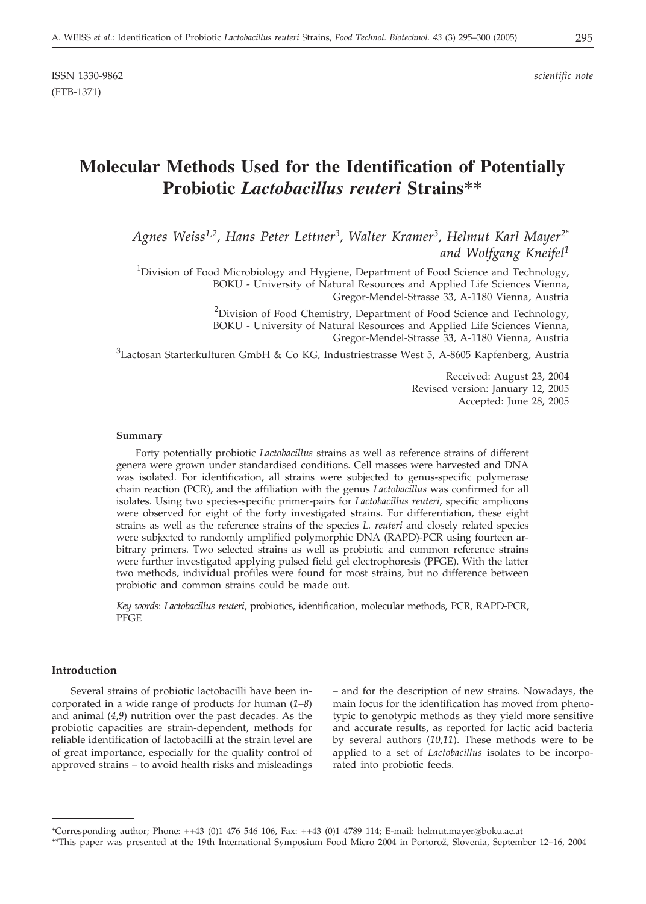ISSN 1330-9862 *scientific note* (FTB-1371)

# **Molecular Methods Used for the Identification of Potentially Probiotic** *Lactobacillus reuteri* **Strains\*\***

*Agnes Weiss1,2, Hans Peter Lettner3, Walter Kramer3, Helmut Karl Mayer2\* and Wolfgang Kneifel1*

<sup>1</sup>Division of Food Microbiology and Hygiene, Department of Food Science and Technology, BOKU - University of Natural Resources and Applied Life Sciences Vienna, Gregor-Mendel-Strasse 33, A-1180 Vienna, Austria

> <sup>2</sup>Division of Food Chemistry, Department of Food Science and Technology, BOKU - University of Natural Resources and Applied Life Sciences Vienna, Gregor-Mendel-Strasse 33, A-1180 Vienna, Austria

 $^3$ Lactosan Starterkulturen GmbH & Co KG, Industriestrasse West 5, A-8605 Kapfenberg, Austria

Received: August 23, 2004 Revised version: January 12, 2005 Accepted: June 28, 2005

### **Summary**

Forty potentially probiotic *Lactobacillus* strains as well as reference strains of different genera were grown under standardised conditions. Cell masses were harvested and DNA was isolated. For identification, all strains were subjected to genus-specific polymerase chain reaction (PCR), and the affiliation with the genus *Lactobacillus* was confirmed for all isolates. Using two species-specific primer-pairs for *Lactobacillus reuteri*, specific amplicons were observed for eight of the forty investigated strains. For differentiation, these eight strains as well as the reference strains of the species *L. reuteri* and closely related species were subjected to randomly amplified polymorphic DNA (RAPD)-PCR using fourteen arbitrary primers. Two selected strains as well as probiotic and common reference strains were further investigated applying pulsed field gel electrophoresis (PFGE). With the latter two methods, individual profiles were found for most strains, but no difference between probiotic and common strains could be made out.

*Key words*: *Lactobacillus reuteri*, probiotics, identification, molecular methods, PCR, RAPD-PCR, PFGE

# **Introduction**

Several strains of probiotic lactobacilli have been incorporated in a wide range of products for human (*1*–*8*) and animal (*4*,*9*) nutrition over the past decades. As the probiotic capacities are strain-dependent, methods for reliable identification of lactobacilli at the strain level are of great importance, especially for the quality control of approved strains – to avoid health risks and misleadings – and for the description of new strains. Nowadays, the main focus for the identification has moved from phenotypic to genotypic methods as they yield more sensitive and accurate results, as reported for lactic acid bacteria by several authors (*10*,*11*). These methods were to be applied to a set of *Lactobacillus* isolates to be incorporated into probiotic feeds.

<sup>\*</sup>Corresponding author; Phone: ++43 (0)1 476 546 106, Fax: ++43 (0)1 4789 114; E-mail: helmut.mayer*@*boku.ac.at

<sup>\*\*</sup>This paper was presented at the 19th International Symposium Food Micro 2004 in Portorož, Slovenia, September 12–16, 2004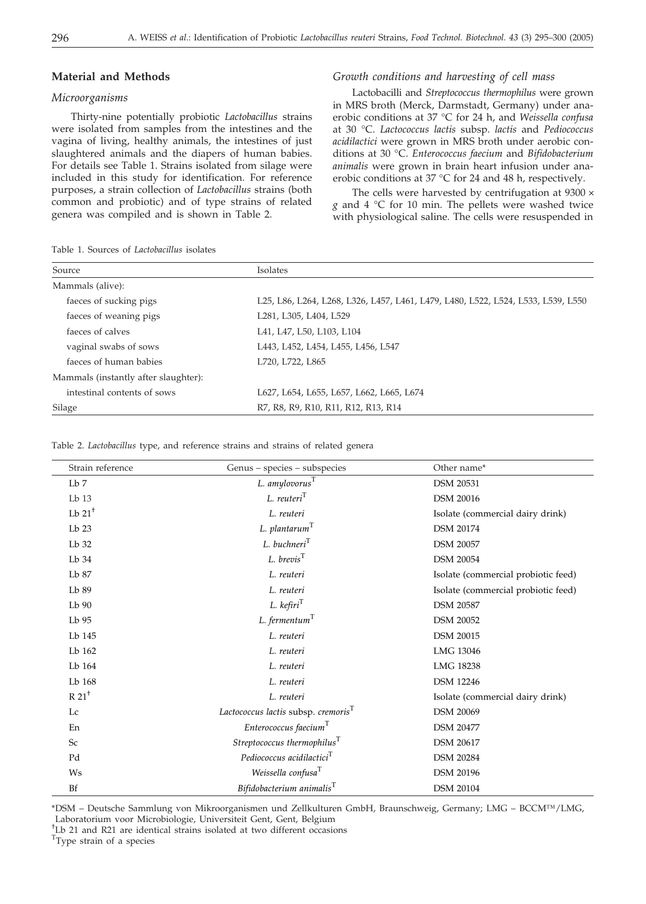# **Material and Methods**

### *Microorganisms*

Thirty-nine potentially probiotic *Lactobacillus* strains were isolated from samples from the intestines and the vagina of living, healthy animals, the intestines of just slaughtered animals and the diapers of human babies. For details see Table 1. Strains isolated from silage were included in this study for identification. For reference purposes, a strain collection of *Lactobacillus* strains (both common and probiotic) and of type strains of related genera was compiled and is shown in Table 2.

Table 1. Sources of *Lactobacillus* isolates

# *Growth conditions and harvesting of cell mass*

Lactobacilli and *Streptococcus thermophilus* were grown in MRS broth (Merck, Darmstadt, Germany) under anaerobic conditions at 37 °C for 24 h, and *Weissella confusa* at 30 °C. *Lactococcus lactis* subsp. *lactis* and *Pediococcus acidilactici* were grown in MRS broth under aerobic conditions at 30 °C. *Enterococcus faecium* and *Bifidobacterium animalis* were grown in brain heart infusion under anaerobic conditions at 37 °C for 24 and 48 h, respectively.

The cells were harvested by centrifugation at  $9300 \times$ *g* and 4 °C for 10 min. The pellets were washed twice with physiological saline. The cells were resuspended in

| Source                               | <b>Isolates</b>                                                                  |
|--------------------------------------|----------------------------------------------------------------------------------|
| Mammals (alive):                     |                                                                                  |
| faeces of sucking pigs               | L25, L86, L264, L268, L326, L457, L461, L479, L480, L522, L524, L533, L539, L550 |
| faeces of weaning pigs               | L281, L305, L404, L529                                                           |
| faeces of calves                     | L41, L47, L50, L103, L104                                                        |
| vaginal swabs of sows                | L443, L452, L454, L455, L456, L547                                               |
| faeces of human babies               | L720, L722, L865                                                                 |
| Mammals (instantly after slaughter): |                                                                                  |
| intestinal contents of sows          | L627, L654, L655, L657, L662, L665, L674                                         |
| Silage                               | R7, R8, R9, R10, R11, R12, R13, R14                                              |

Table 2. *Lactobacillus* type, and reference strains and strains of related genera

| Strain reference    | Genus - species - subspecies                    | Other name*                         |
|---------------------|-------------------------------------------------|-------------------------------------|
| $Lb$ 7              | L. $amylovorusT$                                | <b>DSM 20531</b>                    |
| $Lb$ 13             | $L.$ reuteri $T$                                | <b>DSM 20016</b>                    |
| Lb $21+$            | L. reuteri                                      | Isolate (commercial dairy drink)    |
| $Lb$ 23             | $L.$ plantarum $T$                              | <b>DSM 20174</b>                    |
| Lb 32               | L. buchneri <sup>T</sup>                        | <b>DSM 20057</b>                    |
| Lb 34               | $L.$ brevis $T$                                 | <b>DSM 20054</b>                    |
| Lb 87               | L. reuteri                                      | Isolate (commercial probiotic feed) |
| Lb 89               | L. reuteri                                      | Isolate (commercial probiotic feed) |
| Lb 90               | $L.$ kefiri $T$                                 | <b>DSM 20587</b>                    |
| Lb 95               | $L.$ fermentum $T$                              | <b>DSM 20052</b>                    |
| Lb 145              | L. reuteri                                      | <b>DSM 20015</b>                    |
| Lb 162              | L. reuteri                                      | LMG 13046                           |
| Lb 164              | L. reuteri                                      | LMG 18238                           |
| Lb 168              | L. reuteri                                      | <b>DSM 12246</b>                    |
| $R 21$ <sup>+</sup> | L. reuteri                                      | Isolate (commercial dairy drink)    |
| Lc                  | Lactococcus lactis subsp. cremoris <sup>T</sup> | <b>DSM 20069</b>                    |
| En                  | Enterococcus faecium <sup>T</sup>               | <b>DSM 20477</b>                    |
| Sc                  | Streptococcus thermophilus $^{T}$               | <b>DSM 20617</b>                    |
| Pd                  | Pediococcus acidilactici <sup>T</sup>           | <b>DSM 20284</b>                    |
| Ws                  | Weissella confusa <sup>1</sup>                  | <b>DSM 20196</b>                    |
| <b>Bf</b>           | Bifidobacterium animalis $^T$                   | <b>DSM 20104</b>                    |

\*DSM – Deutsche Sammlung von Mikroorganismen und Zellkulturen GmbH, Braunschweig, Germany; LMG – BCCM™/LMG, Laboratorium voor Microbiologie, Universiteit Gent, Gent, Belgium

† Lb 21 and R21 are identical strains isolated at two different occasions

<sup>T</sup>Type strain of a species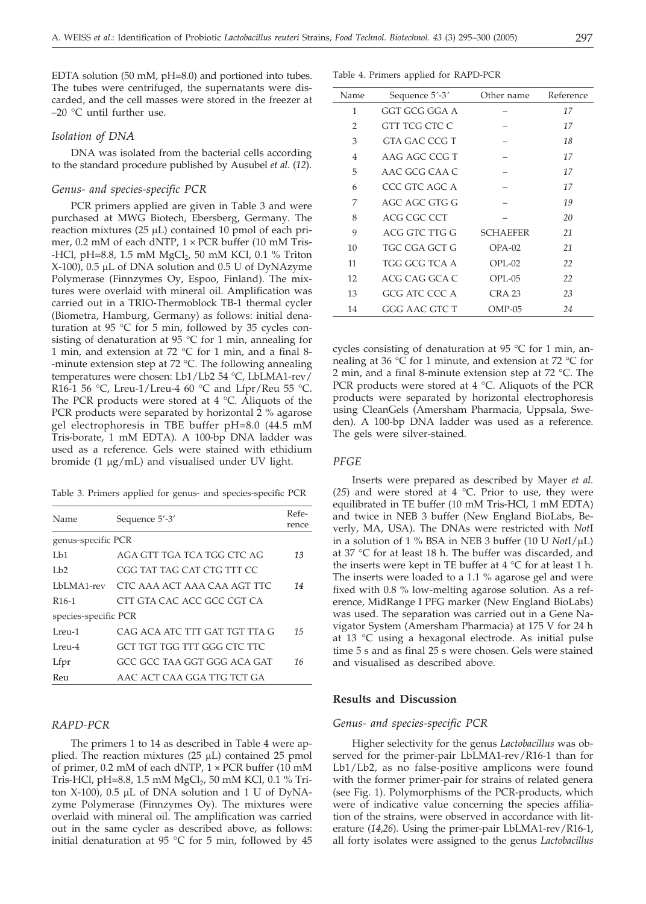EDTA solution (50 mM, pH=8.0) and portioned into tubes. The tubes were centrifuged, the supernatants were discarded, and the cell masses were stored in the freezer at –20 °C until further use.

#### *Isolation of DNA*

DNA was isolated from the bacterial cells according to the standard procedure published by Ausubel *et al.* (*12*).

#### *Genus- and species-specific PCR*

PCR primers applied are given in Table 3 and were purchased at MWG Biotech, Ebersberg, Germany. The reaction mixtures (25  $\mu$ L) contained 10 pmol of each primer, 0.2 mM of each dNTP,  $1 \times PCR$  buffer (10 mM Tris--HCl, pH=8.8, 1.5 mM  $MgCl<sub>2</sub>$ , 50 mM KCl, 0.1 % Triton  $X-100$ ), 0.5 µL of DNA solution and 0.5 U of DyNAzyme Polymerase (Finnzymes Oy, Espoo, Finland). The mixtures were overlaid with mineral oil. Amplification was carried out in a TRIO-Thermoblock TB-1 thermal cycler (Biometra, Hamburg, Germany) as follows: initial denaturation at 95 °C for 5 min, followed by 35 cycles consisting of denaturation at 95 °C for 1 min, annealing for 1 min, and extension at 72 °C for 1 min, and a final 8- -minute extension step at 72 °C. The following annealing temperatures were chosen: Lb1/Lb2 54 °C, LbLMA1-rev/ R16-1 56 °C, Lreu-1/Lreu-4 60 °C and Lfpr/Reu 55 °C. The PCR products were stored at 4 °C. Aliquots of the PCR products were separated by horizontal 2 % agarose gel electrophoresis in TBE buffer pH=8.0 (44.5 mM Tris-borate, 1 mM EDTA). A 100-bp DNA ladder was used as a reference. Gels were stained with ethidium bromide  $(1 \mu g/mL)$  and visualised under UV light.

Table 3. Primers applied for genus- and species-specific PCR

| Name                 | Sequence 5'-3'                | Refe-<br>rence |  |  |
|----------------------|-------------------------------|----------------|--|--|
| genus-specific PCR   |                               |                |  |  |
| Lb1                  | AGA GTT TGA TCA TGG CTC AG    | 13             |  |  |
| 1h2                  | CGG TAT TAG CAT CTG TTT CC    |                |  |  |
| LbLMA1-rev           | CTC AAA ACT AAA CAA AGT TTC   | 14             |  |  |
| R <sub>16-1</sub>    | CTT GTA CAC ACC GCC CGT CA    |                |  |  |
| species-specific PCR |                               |                |  |  |
| Lreu-1               | CAG ACA ATC TTT GAT TGT TTA G | 15             |  |  |
| $Lren-4$             | GCT TGT TGG TTT GGG CTC TTC   |                |  |  |
| Lfpr                 | GCC GCC TAA GGT GGG ACA GAT   | 16             |  |  |
| Reu                  | AAC ACT CAA GGA TTG TCT GA    |                |  |  |

# *RAPD-PCR*

The primers 1 to 14 as described in Table 4 were applied. The reaction mixtures  $(25 \mu L)$  contained 25 pmol of primer, 0.2 mM of each dNTP,  $1 \times PCR$  buffer (10 mM Tris-HCl, pH=8.8, 1.5 mM MgCl<sub>2</sub>, 50 mM KCl, 0.1 % Triton  $X-100$ ), 0.5 µL of DNA solution and 1 U of DyNAzyme Polymerase (Finnzymes Oy). The mixtures were overlaid with mineral oil. The amplification was carried out in the same cycler as described above, as follows: initial denaturation at 95 °C for 5 min, followed by 45

Table 4. Primers applied for RAPD-PCR

| Name           | Sequence 5'-3' | Other name        | Reference |
|----------------|----------------|-------------------|-----------|
| 1              | GGT GCG GGA A  |                   | 17        |
| $\overline{2}$ | GTT TCG CTC C  |                   | 17        |
| 3              | GTA GAC CCG T  |                   | 18        |
| 4              | AAG AGC CCG T  |                   | 17        |
| 5              | AAC GCG CAA C  |                   | 17        |
| 6              | CCC GTC AGC A  |                   | 17        |
| 7              | AGC AGC GTG G  |                   | 19        |
| 8              | ACG CGC CCT    |                   | 20        |
| 9              | ACG GTC TTG G  | <b>SCHAEFER</b>   | 21        |
| 10             | TGC CGA GCT G  | $OPA-02$          | 21        |
| 11             | TGG GCG TCA A  | $OPI - 02$        | 22        |
| 12             | ACG CAG GCA C  | OPL-05            | 22        |
| 13             | GCG ATC CCC A  | CRA <sub>23</sub> | 23        |
| 14             | GGG AAC GTC T  | $OMP-05$          | 24        |

cycles consisting of denaturation at 95 °C for 1 min, annealing at 36 °C for 1 minute, and extension at 72 °C for 2 min, and a final 8-minute extension step at 72 °C. The PCR products were stored at 4 °C. Aliquots of the PCR products were separated by horizontal electrophoresis using CleanGels (Amersham Pharmacia, Uppsala, Sweden). A 100-bp DNA ladder was used as a reference. The gels were silver-stained.

# *PFGE*

Inserts were prepared as described by Mayer *et al.* (*25*) and were stored at 4 °C. Prior to use, they were equilibrated in TE buffer (10 mM Tris-HCl, 1 mM EDTA) and twice in NEB 3 buffer (New England BioLabs, Beverly, MA, USA). The DNAs were restricted with *Not*I in a solution of 1 % BSA in NEB 3 buffer  $(10 \text{ U }$  *Not*I/ $\mu$ L) at 37 °C for at least 18 h. The buffer was discarded, and the inserts were kept in TE buffer at  $4 °C$  for at least 1 h. The inserts were loaded to a 1.1 % agarose gel and were fixed with 0.8 % low-melting agarose solution. As a reference, MidRange I PFG marker (New England BioLabs) was used. The separation was carried out in a Gene Navigator System (Amersham Pharmacia) at 175 V for 24 h at 13 °C using a hexagonal electrode. As initial pulse time 5 s and as final 25 s were chosen. Gels were stained and visualised as described above.

# **Results and Discussion**

# *Genus- and species-specific PCR*

Higher selectivity for the genus *Lactobacillus* was observed for the primer-pair LbLMA1-rev/R16-1 than for Lb1/Lb2, as no false-positive amplicons were found with the former primer-pair for strains of related genera (see Fig. 1). Polymorphisms of the PCR-products, which were of indicative value concerning the species affiliation of the strains, were observed in accordance with literature (*14*,*26*). Using the primer-pair LbLMA1-rev/R16-1, all forty isolates were assigned to the genus *Lactobacillus*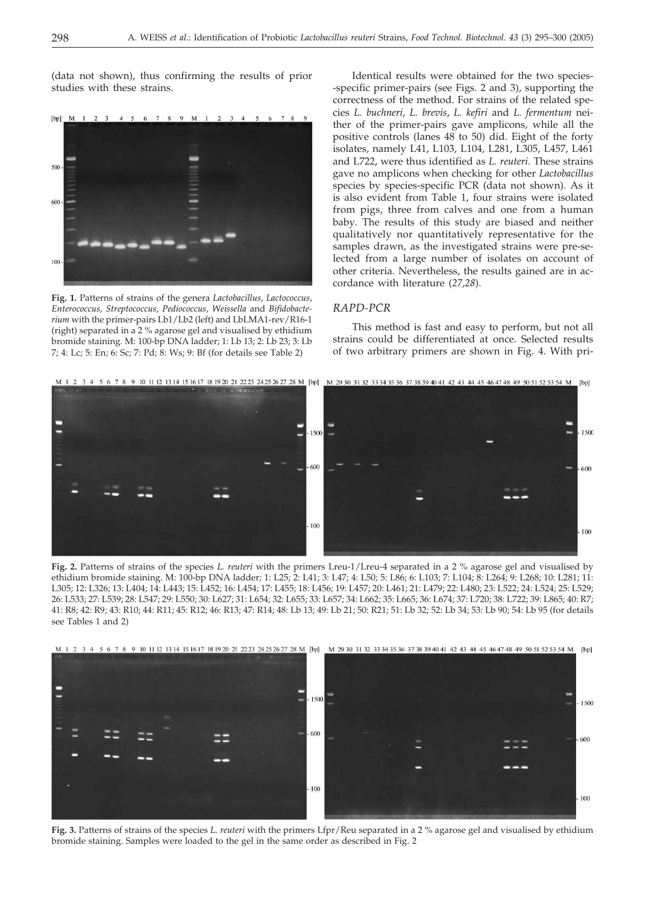(data not shown), thus confirming the results of prior studies with these strains.



**Fig. 1.** Patterns of strains of the genera *Lactobacillus*, *Lactococcus*, *Enterococcus*, *Streptococcus*, *Pediococcus*, *Weissella* and *Bifidobacterium* with the primer-pairs Lb1/Lb2 (left) and LbLMA1-rev/R16-1 (right) separated in a 2 % agarose gel and visualised by ethidium bromide staining. M: 100-bp DNA ladder; 1: Lb 13; 2: Lb 23; 3: Lb 7; 4: Lc; 5: En; 6: Sc; 7: Pd; 8: Ws; 9: Bf (for details see Table 2)

Identical results were obtained for the two species- -specific primer-pairs (see Figs. 2 and 3), supporting the correctness of the method. For strains of the related species *L. buchneri*, *L. brevis*, *L. kefiri* and *L. fermentum* neither of the primer-pairs gave amplicons, while all the positive controls (lanes 48 to 50) did. Eight of the forty isolates, namely L41, L103, L104, L281, L305, L457, L461 and L722, were thus identified as *L. reuteri*. These strains gave no amplicons when checking for other *Lactobacillus* species by species-specific PCR (data not shown). As it is also evident from Table 1, four strains were isolated from pigs, three from calves and one from a human baby. The results of this study are biased and neither qualitatively nor quantitatively representative for the samples drawn, as the investigated strains were pre-selected from a large number of isolates on account of other criteria. Nevertheless, the results gained are in accordance with literature (*27*,*28*).

# *RAPD-PCR*

This method is fast and easy to perform, but not all strains could be differentiated at once. Selected results of two arbitrary primers are shown in Fig. 4. With pri-



**Fig. 2.** Patterns of strains of the species *L. reuteri* with the primers Lreu-1/Lreu-4 separated ina2% agarose gel and visualised by ethidium bromide staining. M: 100-bp DNA ladder; 1: L25; 2: L41; 3: L47; 4: L50; 5: L86; 6: L103; 7: L104; 8: L264; 9: L268; 10: L281; 11: L305; 12: L326; 13: L404; 14: L443; 15: L452; 16: L454; 17: L455; 18: L456; 19: L457; 20: L461; 21: L479; 22: L480; 23: L522; 24: L524; 25: L529; 26: L533; 27: L539; 28: L547; 29: L550; 30: L627; 31: L654; 32: L655; 33: L657; 34: L662; 35: L665; 36: L674; 37: L720; 38: L722; 39: L865; 40: R7; 41: R8; 42: R9; 43: R10; 44: R11; 45: R12; 46: R13; 47: R14; 48: Lb 13; 49: Lb 21; 50: R21; 51: Lb 32; 52: Lb 34; 53: Lb 90; 54: Lb 95 (for details see Tables 1 and 2)



**Fig. 3.** Patterns of strains of the species *L. reuteri* with the primers Lfpr/Reu separated in a 2 % agarose gel and visualised by ethidium bromide staining. Samples were loaded to the gel in the same order as described in Fig. 2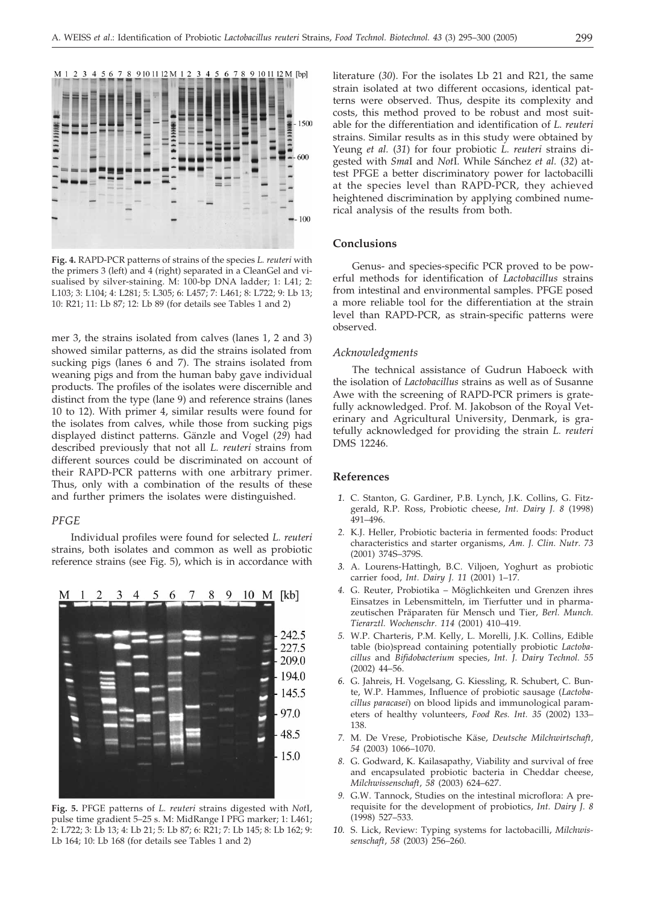

**Fig. 4.** RAPD-PCR patterns of strains of the species *L. reuteri* with the primers 3 (left) and 4 (right) separated in a CleanGel and visualised by silver-staining. M: 100-bp DNA ladder; 1: L41; 2: L103; 3: L104; 4: L281; 5: L305; 6: L457; 7: L461; 8: L722; 9: Lb 13; 10: R21; 11: Lb 87; 12: Lb 89 (for details see Tables 1 and 2)

mer 3, the strains isolated from calves (lanes 1, 2 and 3) showed similar patterns, as did the strains isolated from sucking pigs (lanes 6 and 7). The strains isolated from weaning pigs and from the human baby gave individual products. The profiles of the isolates were discernible and distinct from the type (lane 9) and reference strains (lanes 10 to 12). With primer 4, similar results were found for the isolates from calves, while those from sucking pigs displayed distinct patterns. Gänzle and Vogel (*29*) had described previously that not all *L. reuteri* strains from different sources could be discriminated on account of their RAPD-PCR patterns with one arbitrary primer. Thus, only with a combination of the results of these and further primers the isolates were distinguished.

#### *PFGE*

Individual profiles were found for selected *L. reuteri* strains, both isolates and common as well as probiotic reference strains (see Fig. 5), which is in accordance with



**Fig. 5.** PFGE patterns of *L. reuteri* strains digested with *Not*I, pulse time gradient 5–25 s. M: MidRange I PFG marker; 1: L461; 2: L722; 3: Lb 13; 4: Lb 21; 5: Lb 87; 6: R21; 7: Lb 145; 8: Lb 162; 9: Lb 164; 10: Lb 168 (for details see Tables 1 and 2)

literature (*30*). For the isolates Lb 21 and R21, the same strain isolated at two different occasions, identical patterns were observed. Thus, despite its complexity and costs, this method proved to be robust and most suitable for the differentiation and identification of *L. reuteri* strains. Similar results as in this study were obtained by Yeung *et al.* (*31*) for four probiotic *L. reuteri* strains digested with *Sma*I and *Not*I. While Sánchez *et al.* (*32*) attest PFGE a better discriminatory power for lactobacilli at the species level than RAPD-PCR, they achieved heightened discrimination by applying combined numerical analysis of the results from both.

### **Conclusions**

Genus- and species-specific PCR proved to be powerful methods for identification of *Lactobacillus* strains from intestinal and environmental samples. PFGE posed a more reliable tool for the differentiation at the strain level than RAPD-PCR, as strain-specific patterns were observed.

# *Acknowledgments*

The technical assistance of Gudrun Haboeck with the isolation of *Lactobacillus* strains as well as of Susanne Awe with the screening of RAPD-PCR primers is gratefully acknowledged. Prof. M. Jakobson of the Royal Veterinary and Agricultural University, Denmark, is gratefully acknowledged for providing the strain *L. reuteri* DMS 12246.

# **References**

- *1.* C. Stanton, G. Gardiner, P.B. Lynch, J.K. Collins, G. Fitzgerald, R.P. Ross, Probiotic cheese, *Int. Dairy J. 8* (1998) 491–496.
- *2.* K.J. Heller, Probiotic bacteria in fermented foods: Product characteristics and starter organisms, *Am. J. Clin. Nutr. 73* (2001) 374S–379S.
- *3.* A. Lourens-Hattingh, B.C. Viljoen, Yoghurt as probiotic carrier food, *Int. Dairy J. 11* (2001) 1–17.
- *4.* G. Reuter, Probiotika Möglichkeiten und Grenzen ihres Einsatzes in Lebensmitteln, im Tierfutter und in pharmazeutischen Präparaten für Mensch und Tier, *Berl. Munch. Tierarztl. Wochenschr. 114* (2001) 410–419.
- *5.* W.P. Charteris, P.M. Kelly, L. Morelli, J.K. Collins, Edible table (bio)spread containing potentially probiotic *Lactobacillus* and *Bifidobacterium* species, *Int. J. Dairy Technol. 55* (2002) 44–56.
- *6.* G. Jahreis, H. Vogelsang, G. Kiessling, R. Schubert, C. Bunte, W.P. Hammes, Influence of probiotic sausage (*Lactobacillus paracasei*) on blood lipids and immunological parameters of healthy volunteers, *Food Res. Int. 35* (2002) 133– 138.
- *7.* M. De Vrese, Probiotische Käse, *Deutsche Milchwirtschaft, 54* (2003) 1066–1070.
- *8.* G. Godward, K. Kailasapathy, Viability and survival of free and encapsulated probiotic bacteria in Cheddar cheese, *Milchwissenschaft*, *58* (2003) 624–627.
- *9.* G.W. Tannock, Studies on the intestinal microflora: A prerequisite for the development of probiotics, *Int. Dairy J. 8* (1998) 527–533.
- *10.* S. Lick, Review: Typing systems for lactobacilli, *Milchwissenschaft*, *58* (2003) 256–260.